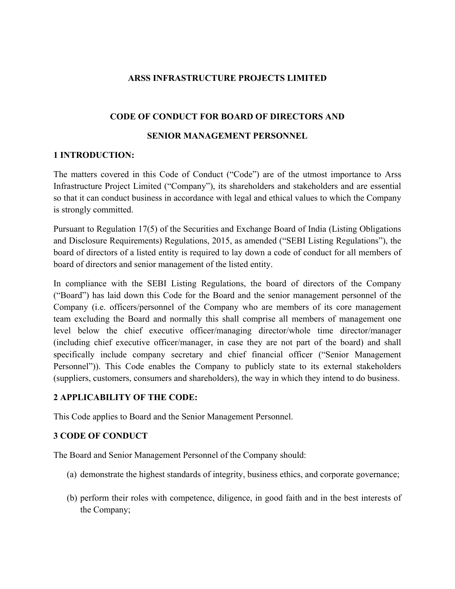### **ARSS INFRASTRUCTURE PROJECTS LIMITED**

### **CODE OF CONDUCT FOR BOARD OF DIRECTORS AND**

#### **SENIOR MANAGEMENT PERSONNEL**

### **1 INTRODUCTION:**

The matters covered in this Code of Conduct ("Code") are of the utmost importance to Arss Infrastructure Project Limited ("Company"), its shareholders and stakeholders and are essential so that it can conduct business in accordance with legal and ethical values to which the Company is strongly committed.

Pursuant to Regulation 17(5) of the Securities and Exchange Board of India (Listing Obligations and Disclosure Requirements) Regulations, 2015, as amended ("SEBI Listing Regulations"), the board of directors of a listed entity is required to lay down a code of conduct for all members of board of directors and senior management of the listed entity.

In compliance with the SEBI Listing Regulations, the board of directors of the Company ("Board") has laid down this Code for the Board and the senior management personnel of the Company (i.e. officers/personnel of the Company who are members of its core management team excluding the Board and normally this shall comprise all members of management one level below the chief executive officer/managing director/whole time director/manager (including chief executive officer/manager, in case they are not part of the board) and shall specifically include company secretary and chief financial officer ("Senior Management Personnel")). This Code enables the Company to publicly state to its external stakeholders (suppliers, customers, consumers and shareholders), the way in which they intend to do business.

#### **2 APPLICABILITY OF THE CODE:**

This Code applies to Board and the Senior Management Personnel.

# **3 CODE OF CONDUCT**

The Board and Senior Management Personnel of the Company should:

- (a) demonstrate the highest standards of integrity, business ethics, and corporate governance;
- (b) perform their roles with competence, diligence, in good faith and in the best interests of the Company;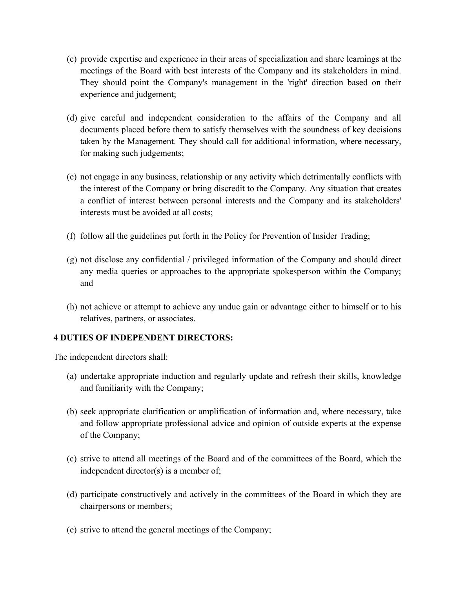- (c) provide expertise and experience in their areas of specialization and share learnings at the meetings of the Board with best interests of the Company and its stakeholders in mind. They should point the Company's management in the 'right' direction based on their experience and judgement;
- (d) give careful and independent consideration to the affairs of the Company and all documents placed before them to satisfy themselves with the soundness of key decisions taken by the Management. They should call for additional information, where necessary, for making such judgements;
- (e) not engage in any business, relationship or any activity which detrimentally conflicts with the interest of the Company or bring discredit to the Company. Any situation that creates a conflict of interest between personal interests and the Company and its stakeholders' interests must be avoided at all costs;
- (f) follow all the guidelines put forth in the Policy for Prevention of Insider Trading;
- (g) not disclose any confidential / privileged information of the Company and should direct any media queries or approaches to the appropriate spokesperson within the Company; and
- (h) not achieve or attempt to achieve any undue gain or advantage either to himself or to his relatives, partners, or associates.

# **4 DUTIES OF INDEPENDENT DIRECTORS:**

The independent directors shall:

- (a) undertake appropriate induction and regularly update and refresh their skills, knowledge and familiarity with the Company;
- (b) seek appropriate clarification or amplification of information and, where necessary, take and follow appropriate professional advice and opinion of outside experts at the expense of the Company;
- (c) strive to attend all meetings of the Board and of the committees of the Board, which the independent director(s) is a member of;
- (d) participate constructively and actively in the committees of the Board in which they are chairpersons or members;
- (e) strive to attend the general meetings of the Company;